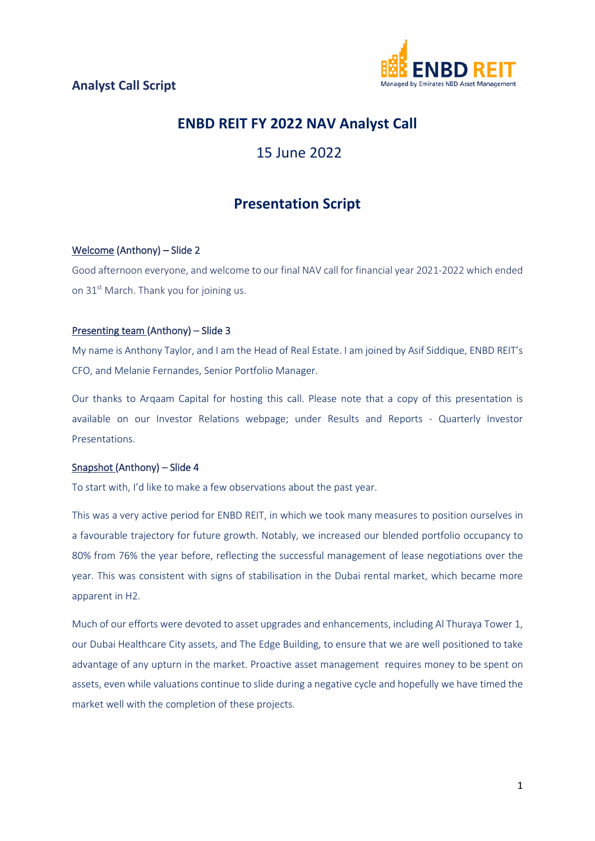

# **ENBD REIT FY 2022 NAV Analyst Call**

# 15 June 2022

# **Presentation Script**

#### Welcome (Anthony) – Slide 2

Good afternoon everyone, and welcome to our final NAV call for financial year 2021-2022 which ended on 31<sup>st</sup> March. Thank you for joining us.

#### Presenting team (Anthony) – Slide 3

My name is Anthony Taylor, and I am the Head of Real Estate. I am joined by Asif Siddique, ENBD REIT's CFO, and Melanie Fernandes, Senior Portfolio Manager.

Our thanks to Arqaam Capital for hosting this call. Please note that a copy of this presentation is available on our Investor Relations webpage; under Results and Reports - Quarterly Investor Presentations.

#### Snapshot (Anthony) – Slide 4

To start with, I'd like to make a few observations about the past year.

This was a very active period for ENBD REIT, in which we took many measures to position ourselves in a favourable trajectory for future growth. Notably, we increased our blended portfolio occupancy to 80% from 76% the year before, reflecting the successful management of lease negotiations over the year. This was consistent with signs of stabilisation in the Dubai rental market, which became more apparent in H2.

Much of our efforts were devoted to asset upgrades and enhancements, including Al Thuraya Tower 1, our Dubai Healthcare City assets, and The Edge Building, to ensure that we are well positioned to take advantage of any upturn in the market. Proactive asset management requires money to be spent on assets, even while valuations continue to slide during a negative cycle and hopefully we have timed the market well with the completion of these projects.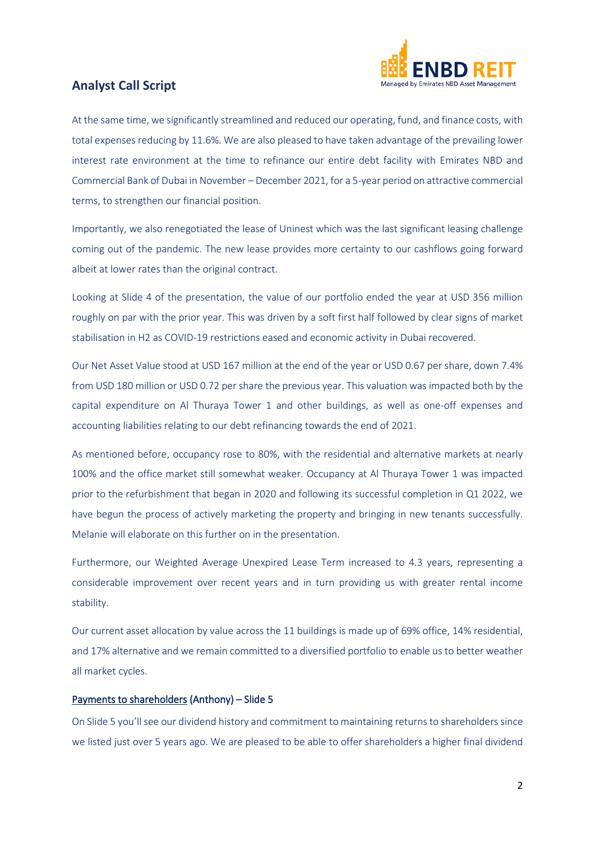

At the same time, we significantly streamlined and reduced our operating, fund, and finance costs, with total expenses reducing by 11.6%. We are also pleased to have taken advantage of the prevailing lower interest rate environment at the time to refinance our entire debt facility with Emirates NBD and Commercial Bank of Dubai in November – December 2021, for a 5-year period on attractive commercial terms, to strengthen our financial position.

Importantly, we also renegotiated the lease of Uninest which was the last significant leasing challenge coming out of the pandemic. The new lease provides more certainty to our cashflows going forward albeit at lower rates than the original contract.

Looking at Slide 4 of the presentation, the value of our portfolio ended the year at USD 356 million roughly on par with the prior year. This was driven by a soft first half followed by clear signs of market stabilisation in H2 as COVID-19 restrictions eased and economic activity in Dubai recovered.

Our Net Asset Value stood at USD 167 million at the end of the year or USD 0.67 per share, down 7.4% from USD 180 million or USD 0.72 per share the previous year. This valuation was impacted both by the capital expenditure on Al Thuraya Tower 1 and other buildings, as well as one-off expenses and accounting liabilities relating to our debt refinancing towards the end of 2021.

As mentioned before, occupancy rose to 80%, with the residential and alternative markets at nearly 100% and the office market still somewhat weaker. Occupancy at Al Thuraya Tower 1 was impacted prior to the refurbishment that began in 2020 and following its successful completion in Q1 2022, we have begun the process of actively marketing the property and bringing in new tenants successfully. Melanie will elaborate on this further on in the presentation.

Furthermore, our Weighted Average Unexpired Lease Term increased to 4.3 years, representing a considerable improvement over recent years and in turn providing us with greater rental income stability.

Our current asset allocation by value across the 11 buildings is made up of 69% office, 14% residential, and 17% alternative and we remain committed to a diversified portfolio to enable us to better weather all market cycles.

#### Payments to shareholders (Anthony) – Slide 5

On Slide 5 you'll see our dividend history and commitment to maintaining returns to shareholders since we listed just over 5 years ago. We are pleased to be able to offer shareholders a higher final dividend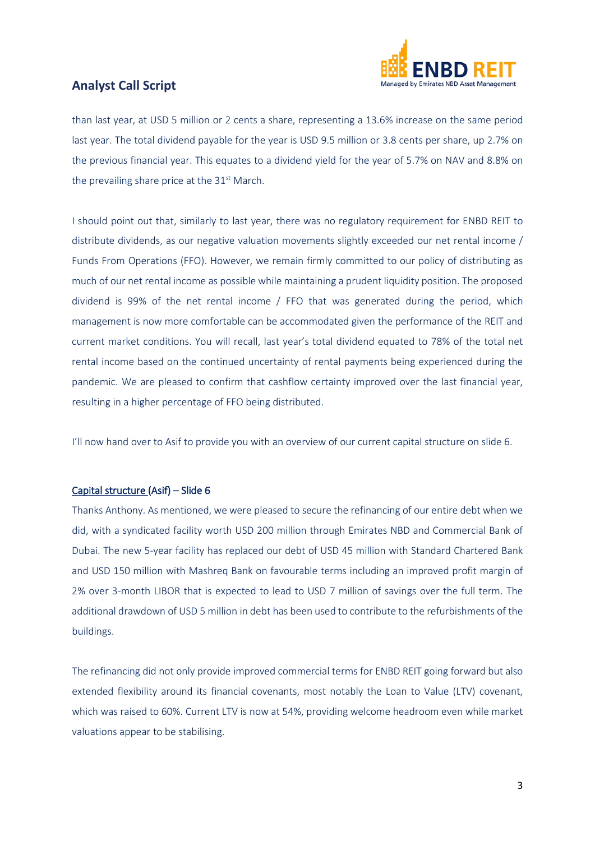

than last year, at USD 5 million or 2 cents a share, representing a 13.6% increase on the same period last year. The total dividend payable for the year is USD 9.5 million or 3.8 cents per share, up 2.7% on the previous financial year. This equates to a dividend yield for the year of 5.7% on NAV and 8.8% on the prevailing share price at the  $31<sup>st</sup>$  March.

I should point out that, similarly to last year, there was no regulatory requirement for ENBD REIT to distribute dividends, as our negative valuation movements slightly exceeded our net rental income / Funds From Operations (FFO). However, we remain firmly committed to our policy of distributing as much of our net rental income as possible while maintaining a prudent liquidity position. The proposed dividend is 99% of the net rental income / FFO that was generated during the period, which management is now more comfortable can be accommodated given the performance of the REIT and current market conditions. You will recall, last year's total dividend equated to 78% of the total net rental income based on the continued uncertainty of rental payments being experienced during the pandemic. We are pleased to confirm that cashflow certainty improved over the last financial year, resulting in a higher percentage of FFO being distributed.

I'll now hand over to Asif to provide you with an overview of our current capital structure on slide 6.

#### Capital structure (Asif) – Slide 6

Thanks Anthony. As mentioned, we were pleased to secure the refinancing of our entire debt when we did, with a syndicated facility worth USD 200 million through Emirates NBD and Commercial Bank of Dubai. The new 5-year facility has replaced our debt of USD 45 million with Standard Chartered Bank and USD 150 million with Mashreq Bank on favourable terms including an improved profit margin of 2% over 3-month LIBOR that is expected to lead to USD 7 million of savings over the full term. The additional drawdown of USD 5 million in debt has been used to contribute to the refurbishments of the buildings.

The refinancing did not only provide improved commercial terms for ENBD REIT going forward but also extended flexibility around its financial covenants, most notably the Loan to Value (LTV) covenant, which was raised to 60%. Current LTV is now at 54%, providing welcome headroom even while market valuations appear to be stabilising.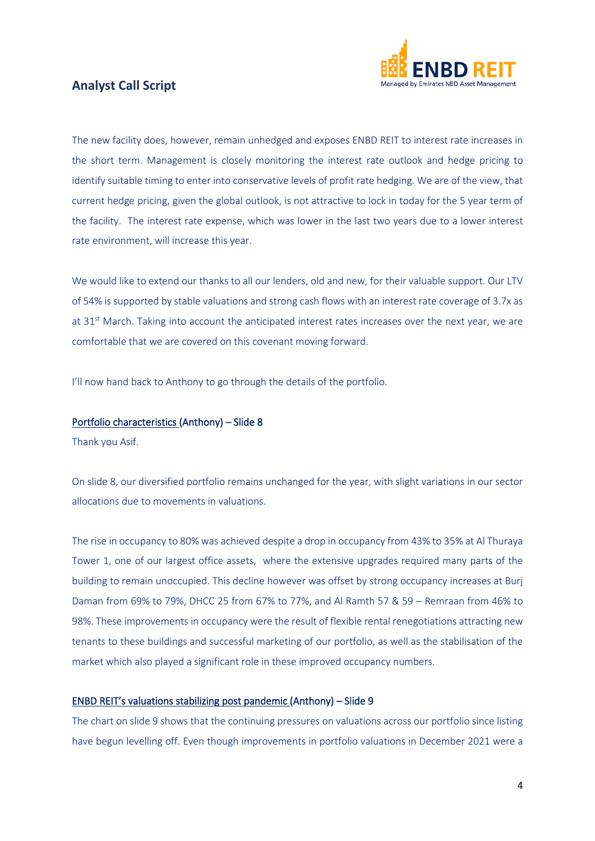

The new facility does, however, remain unhedged and exposes ENBD REIT to interest rate increases in the short term. Management is closely monitoring the interest rate outlook and hedge pricing to identify suitable timing to enter into conservative levels of profit rate hedging. We are of the view, that current hedge pricing, given the global outlook, is not attractive to lock in today for the 5 year term of the facility. The interest rate expense, which was lower in the last two years due to a lower interest rate environment, will increase this year.

We would like to extend our thanks to all our lenders, old and new, for their valuable support. Our LTV of 54% is supported by stable valuations and strong cash flows with an interest rate coverage of 3.7x as at 31<sup>st</sup> March. Taking into account the anticipated interest rates increases over the next year, we are comfortable that we are covered on this covenant moving forward.

I'll now hand back to Anthony to go through the details of the portfolio.

#### Portfolio characteristics (Anthony) – Slide 8

Thank you Asif.

On slide 8, our diversified portfolio remains unchanged for the year, with slight variations in our sector allocations due to movements in valuations.

The rise in occupancy to 80% was achieved despite a drop in occupancy from 43% to 35% at Al Thuraya Tower 1, one of our largest office assets, where the extensive upgrades required many parts of the building to remain unoccupied. This decline however was offset by strong occupancy increases at Burj Daman from 69% to 79%, DHCC 25 from 67% to 77%, and Al Ramth 57 & 59 – Remraan from 46% to 98%. These improvements in occupancy were the result of flexible rental renegotiations attracting new tenants to these buildings and successful marketing of our portfolio, as well as the stabilisation of the market which also played a significant role in these improved occupancy numbers.

#### ENBD REIT's valuations stabilizing post pandemic (Anthony) – Slide 9

The chart on slide 9 shows that the continuing pressures on valuations across our portfolio since listing have begun levelling off. Even though improvements in portfolio valuations in December 2021 were a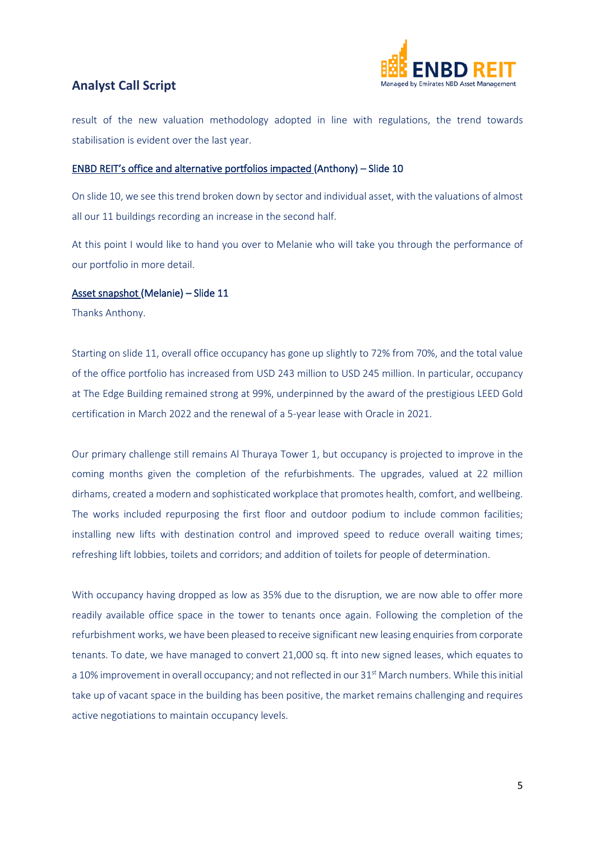

result of the new valuation methodology adopted in line with regulations, the trend towards stabilisation is evident over the last year.

#### ENBD REIT's office and alternative portfolios impacted (Anthony) – Slide 10

On slide 10, we see this trend broken down by sector and individual asset, with the valuations of almost all our 11 buildings recording an increase in the second half.

At this point I would like to hand you over to Melanie who will take you through the performance of our portfolio in more detail.

#### Asset snapshot (Melanie) – Slide 11

Thanks Anthony.

Starting on slide 11, overall office occupancy has gone up slightly to 72% from 70%, and the total value of the office portfolio has increased from USD 243 million to USD 245 million. In particular, occupancy at The Edge Building remained strong at 99%, underpinned by the award of the prestigious LEED Gold certification in March 2022 and the renewal of a 5-year lease with Oracle in 2021.

Our primary challenge still remains Al Thuraya Tower 1, but occupancy is projected to improve in the coming months given the completion of the refurbishments. The upgrades, valued at 22 million dirhams, created a modern and sophisticated workplace that promotes health, comfort, and wellbeing. The works included repurposing the first floor and outdoor podium to include common facilities; installing new lifts with destination control and improved speed to reduce overall waiting times; refreshing lift lobbies, toilets and corridors; and addition of toilets for people of determination.

With occupancy having dropped as low as 35% due to the disruption, we are now able to offer more readily available office space in the tower to tenants once again. Following the completion of the refurbishment works, we have been pleased to receive significant new leasing enquiries from corporate tenants. To date, we have managed to convert 21,000 sq. ft into new signed leases, which equates to a 10% improvement in overall occupancy; and not reflected in our 31<sup>st</sup> March numbers. While this initial take up of vacant space in the building has been positive, the market remains challenging and requires active negotiations to maintain occupancy levels.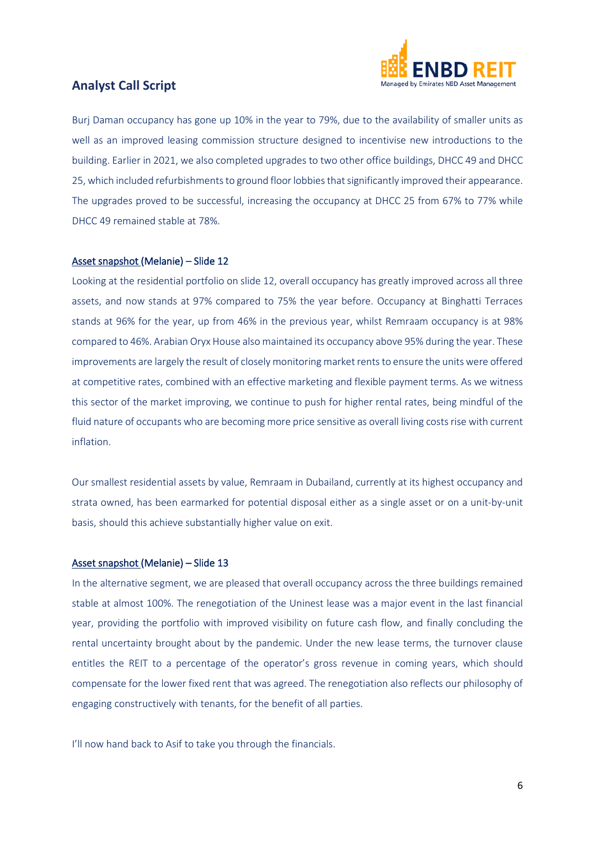

Burj Daman occupancy has gone up 10% in the year to 79%, due to the availability of smaller units as well as an improved leasing commission structure designed to incentivise new introductions to the building. Earlier in 2021, we also completed upgrades to two other office buildings, DHCC 49 and DHCC 25, which included refurbishments to ground floor lobbies that significantly improved their appearance. The upgrades proved to be successful, increasing the occupancy at DHCC 25 from 67% to 77% while DHCC 49 remained stable at 78%.

#### Asset snapshot (Melanie) – Slide 12

Looking at the residential portfolio on slide 12, overall occupancy has greatly improved across all three assets, and now stands at 97% compared to 75% the year before. Occupancy at Binghatti Terraces stands at 96% for the year, up from 46% in the previous year, whilst Remraam occupancy is at 98% compared to 46%. Arabian Oryx House also maintained its occupancy above 95% during the year. These improvements are largely the result of closely monitoring market rents to ensure the units were offered at competitive rates, combined with an effective marketing and flexible payment terms. As we witness this sector of the market improving, we continue to push for higher rental rates, being mindful of the fluid nature of occupants who are becoming more price sensitive as overall living costs rise with current inflation.

Our smallest residential assets by value, Remraam in Dubailand, currently at its highest occupancy and strata owned, has been earmarked for potential disposal either as a single asset or on a unit-by-unit basis, should this achieve substantially higher value on exit.

#### Asset snapshot (Melanie) – Slide 13

In the alternative segment, we are pleased that overall occupancy across the three buildings remained stable at almost 100%. The renegotiation of the Uninest lease was a major event in the last financial year, providing the portfolio with improved visibility on future cash flow, and finally concluding the rental uncertainty brought about by the pandemic. Under the new lease terms, the turnover clause entitles the REIT to a percentage of the operator's gross revenue in coming years, which should compensate for the lower fixed rent that was agreed. The renegotiation also reflects our philosophy of engaging constructively with tenants, for the benefit of all parties.

I'll now hand back to Asif to take you through the financials.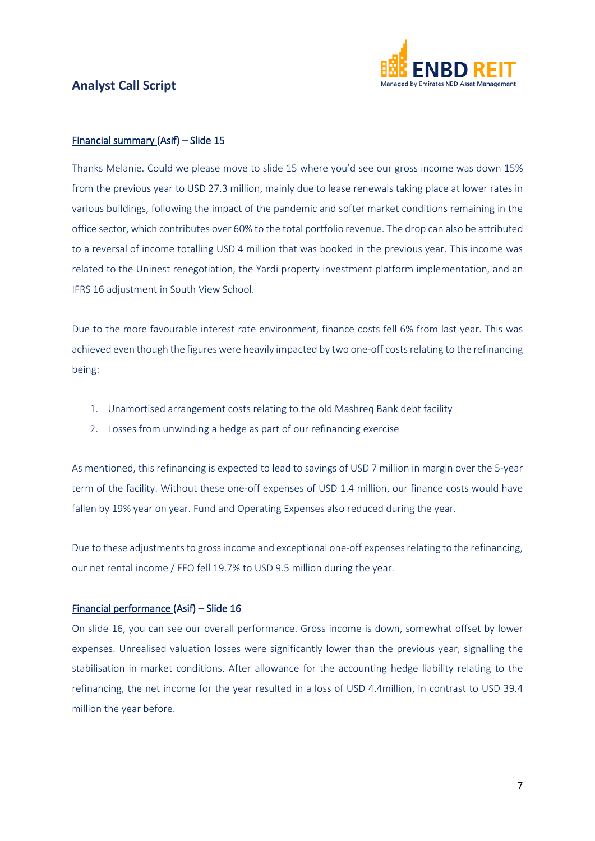

#### Financial summary (Asif) – Slide 15

Thanks Melanie. Could we please move to slide 15 where you'd see our gross income was down 15% from the previous year to USD 27.3 million, mainly due to lease renewals taking place at lower rates in various buildings, following the impact of the pandemic and softer market conditions remaining in the office sector, which contributes over 60% to the total portfolio revenue. The drop can also be attributed to a reversal of income totalling USD 4 million that was booked in the previous year. This income was related to the Uninest renegotiation, the Yardi property investment platform implementation, and an IFRS 16 adjustment in South View School.

Due to the more favourable interest rate environment, finance costs fell 6% from last year. This was achieved even though the figures were heavily impacted by two one-off costs relating to the refinancing being:

- 1. Unamortised arrangement costs relating to the old Mashreq Bank debt facility
- 2. Losses from unwinding a hedge as part of our refinancing exercise

As mentioned, this refinancing is expected to lead to savings of USD 7 million in margin over the 5-year term of the facility. Without these one-off expenses of USD 1.4 million, our finance costs would have fallen by 19% year on year. Fund and Operating Expenses also reduced during the year.

Due to these adjustments to gross income and exceptional one-off expenses relating to the refinancing, our net rental income / FFO fell 19.7% to USD 9.5 million during the year.

#### Financial performance (Asif) – Slide 16

On slide 16, you can see our overall performance. Gross income is down, somewhat offset by lower expenses. Unrealised valuation losses were significantly lower than the previous year, signalling the stabilisation in market conditions. After allowance for the accounting hedge liability relating to the refinancing, the net income for the year resulted in a loss of USD 4.4million, in contrast to USD 39.4 million the year before.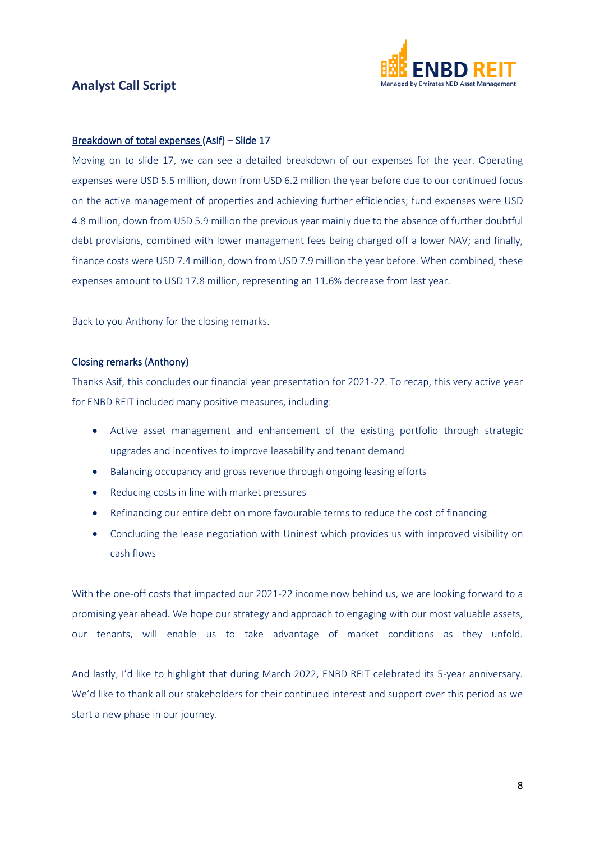

#### Breakdown of total expenses (Asif) – Slide 17

Moving on to slide 17, we can see a detailed breakdown of our expenses for the year. Operating expenses were USD 5.5 million, down from USD 6.2 million the year before due to our continued focus on the active management of properties and achieving further efficiencies; fund expenses were USD 4.8 million, down from USD 5.9 million the previous year mainly due to the absence of further doubtful debt provisions, combined with lower management fees being charged off a lower NAV; and finally, finance costs were USD 7.4 million, down from USD 7.9 million the year before. When combined, these expenses amount to USD 17.8 million, representing an 11.6% decrease from last year.

Back to you Anthony for the closing remarks.

#### Closing remarks (Anthony)

Thanks Asif, this concludes our financial year presentation for 2021-22. To recap, this very active year for ENBD REIT included many positive measures, including:

- Active asset management and enhancement of the existing portfolio through strategic upgrades and incentives to improve leasability and tenant demand
- Balancing occupancy and gross revenue through ongoing leasing efforts
- Reducing costs in line with market pressures
- Refinancing our entire debt on more favourable terms to reduce the cost of financing
- Concluding the lease negotiation with Uninest which provides us with improved visibility on cash flows

With the one-off costs that impacted our 2021-22 income now behind us, we are looking forward to a promising year ahead. We hope our strategy and approach to engaging with our most valuable assets, our tenants, will enable us to take advantage of market conditions as they unfold.

And lastly, I'd like to highlight that during March 2022, ENBD REIT celebrated its 5-year anniversary. We'd like to thank all our stakeholders for their continued interest and support over this period as we start a new phase in our journey.